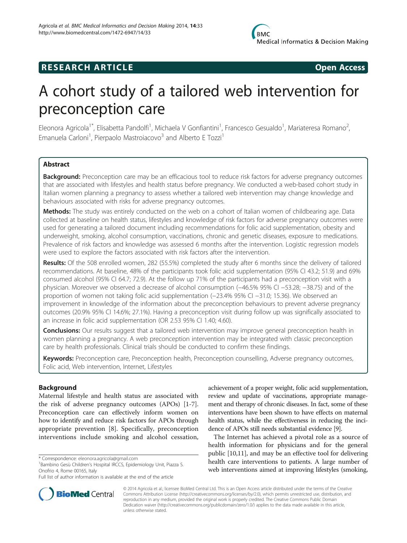## **RESEARCH ARTICLE Example 2014 CONSIDERING CONSIDERING CONSIDERING CONSIDERING CONSIDERING CONSIDERING CONSIDERING CONSIDERING CONSIDERING CONSIDERING CONSIDERING CONSIDERING CONSIDERING CONSIDERING CONSIDERING CONSIDE**

# A cohort study of a tailored web intervention for preconception care

Eleonora Agricola<sup>1\*</sup>, Elisabetta Pandolfi<sup>1</sup>, Michaela V Gonfiantini<sup>1</sup>, Francesco Gesualdo<sup>1</sup>, Mariateresa Romano<sup>2</sup> , Emanuela Carloni<sup>1</sup>, Pierpaolo Mastroiacovo<sup>3</sup> and Alberto E Tozzi<sup>1</sup>

## **Abstract**

Background: Preconception care may be an efficacious tool to reduce risk factors for adverse pregnancy outcomes that are associated with lifestyles and health status before pregnancy. We conducted a web-based cohort study in Italian women planning a pregnancy to assess whether a tailored web intervention may change knowledge and behaviours associated with risks for adverse pregnancy outcomes.

Methods: The study was entirely conducted on the web on a cohort of Italian women of childbearing age. Data collected at baseline on health status, lifestyles and knowledge of risk factors for adverse pregnancy outcomes were used for generating a tailored document including recommendations for folic acid supplementation, obesity and underweight, smoking, alcohol consumption, vaccinations, chronic and genetic diseases, exposure to medications. Prevalence of risk factors and knowledge was assessed 6 months after the intervention. Logistic regression models were used to explore the factors associated with risk factors after the intervention.

Results: Of the 508 enrolled women, 282 (55.5%) completed the study after 6 months since the delivery of tailored recommendations. At baseline, 48% of the participants took folic acid supplementation (95% CI 43.2; 51.9) and 69% consumed alcohol (95% CI 64.7; 72.9). At the follow up 71% of the participants had a preconception visit with a physician. Moreover we observed a decrease of alcohol consumption (−46.5% 95% CI −53.28; −38.75) and of the proportion of women not taking folic acid supplementation (-23.4% 95% CI -31.0; 15.36). We observed an improvement in knowledge of the information about the preconception behaviours to prevent adverse pregnancy outcomes (20.9% 95% CI 14.6%; 27.1%). Having a preconception visit during follow up was significally associated to an increase in folic acid supplementation (OR 2.53 95% CI 1.40; 4.60).

**Conclusions:** Our results suggest that a tailored web intervention may improve general preconception health in women planning a pregnancy. A web preconception intervention may be integrated with classic preconception care by health professionals. Clinical trials should be conducted to confirm these findings.

Keywords: Preconception care, Preconception health, Preconception counselling, Adverse pregnancy outcomes, Folic acid, Web intervention, Internet, Lifestyles

## Background

Maternal lifestyle and health status are associated with the risk of adverse pregnancy outcomes (APOs) [[1-7](#page-8-0)]. Preconception care can effectively inform women on how to identify and reduce risk factors for APOs through appropriate prevention [\[8](#page-9-0)]. Specifically, preconception interventions include smoking and alcohol cessation,



The Internet has achieved a pivotal role as a source of health information for physicians and for the general public [[10,11\]](#page-9-0), and may be an effective tool for delivering health care interventions to patients. A large number of web interventions aimed at improving lifestyles (smoking,



© 2014 Agricola et al.; licensee BioMed Central Ltd. This is an Open Access article distributed under the terms of the Creative Commons Attribution License [\(http://creativecommons.org/licenses/by/2.0\)](http://creativecommons.org/licenses/by/2.0), which permits unrestricted use, distribution, and reproduction in any medium, provided the original work is properly credited. The Creative Commons Public Domain Dedication waiver [\(http://creativecommons.org/publicdomain/zero/1.0/](http://creativecommons.org/publicdomain/zero/1.0/)) applies to the data made available in this article, unless otherwise stated.

<sup>\*</sup> Correspondence: [eleonora.agricola@gmail.com](mailto:eleonora.agricola@gmail.com) <sup>1</sup>

<sup>&</sup>lt;sup>1</sup>Bambino Gesù Children's Hospital IRCCS, Epidemiology Unit, Piazza S. Onofrio 4, Rome 00165, Italy

Full list of author information is available at the end of the article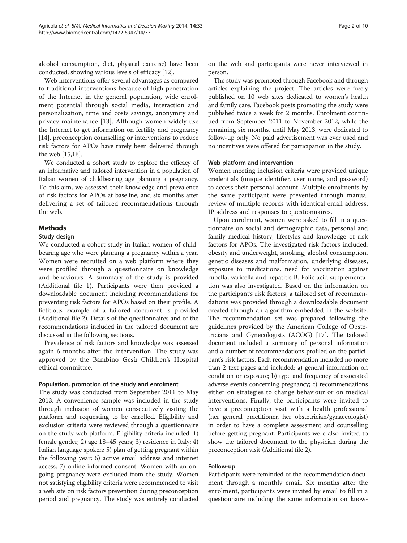alcohol consumption, diet, physical exercise) have been conducted, showing various levels of efficacy [[12](#page-9-0)].

Web interventions offer several advantages as compared to traditional interventions because of high penetration of the Internet in the general population, wide enrolment potential through social media, interaction and personalization, time and costs savings, anonymity and privacy maintenance [\[13](#page-9-0)]. Although women widely use the Internet to get information on fertility and pregnancy [[14](#page-9-0)], preconception counselling or interventions to reduce risk factors for APOs have rarely been delivered through the web [[15,16](#page-9-0)].

We conducted a cohort study to explore the efficacy of an informative and tailored intervention in a population of Italian women of childbearing age planning a pregnancy. To this aim, we assessed their knowledge and prevalence of risk factors for APOs at baseline, and six months after delivering a set of tailored recommendations through the web.

## Methods

#### Study design

We conducted a cohort study in Italian women of childbearing age who were planning a pregnancy within a year. Women were recruited on a web platform where they were profiled through a questionnaire on knowledge and behaviours. A summary of the study is provided (Additional file [1](#page-8-0)). Participants were then provided a downloadable document including recommendations for preventing risk factors for APOs based on their profile. A fictitious example of a tailored document is provided (Additional file [2\)](#page-8-0). Details of the questionnaires and of the recommendations included in the tailored document are discussed in the following sections.

Prevalence of risk factors and knowledge was assessed again 6 months after the intervention. The study was approved by the Bambino Gesù Children's Hospital ethical committee.

#### Population, promotion of the study and enrolment

The study was conducted from September 2011 to May 2013. A convenience sample was included in the study through inclusion of women consecutively visiting the platform and requesting to be enrolled. Eligibility and exclusion criteria were reviewed through a questionnaire on the study web platform. Eligibility criteria included: 1) female gender; 2) age 18–45 years; 3) residence in Italy; 4) Italian language spoken; 5) plan of getting pregnant within the following year; 6) active email address and internet access; 7) online informed consent. Women with an ongoing pregnancy were excluded from the study. Women not satisfying eligibility criteria were recommended to visit a web site on risk factors prevention during preconception period and pregnancy. The study was entirely conducted

on the web and participants were never interviewed in person.

The study was promoted through Facebook and through articles explaining the project. The articles were freely published on 10 web sites dedicated to women's health and family care. Facebook posts promoting the study were published twice a week for 2 months. Enrolment continued from September 2011 to November 2012, while the remaining six months, until May 2013, were dedicated to follow-up only. No paid advertisement was ever used and no incentives were offered for participation in the study.

#### Web platform and intervention

Women meeting inclusion criteria were provided unique credentials (unique identifier, user name, and password) to access their personal account. Multiple enrolments by the same participant were prevented through manual review of multiple records with identical email address, IP address and responses to questionnaires.

Upon enrolment, women were asked to fill in a questionnaire on social and demographic data, personal and family medical history, lifestyles and knowledge of risk factors for APOs. The investigated risk factors included: obesity and underweight, smoking, alcohol consumption, genetic diseases and malformation, underlying diseases, exposure to medications, need for vaccination against rubella, varicella and hepatitis B. Folic acid supplementation was also investigated. Based on the information on the participant's risk factors, a tailored set of recommendations was provided through a downloadable document created through an algorithm embedded in the website. The recommendation set was prepared following the guidelines provided by the American College of Obstetricians and Gynecologists (ACOG) [[17](#page-9-0)]. The tailored document included a summary of personal information and a number of recommendations profiled on the participant's risk factors. Each recommendation included no more than 2 text pages and included: a) general information on condition or exposure; b) type and frequency of associated adverse events concerning pregnancy; c) recommendations either on strategies to change behaviour or on medical interventions. Finally, the participants were invited to have a preconception visit with a health professional (her general practitioner, her obstetrician/gynaecologist) in order to have a complete assessment and counselling before getting pregnant. Participants were also invited to show the tailored document to the physician during the preconception visit (Additional file [2](#page-8-0)).

#### Follow-up

Participants were reminded of the recommendation document through a monthly email. Six months after the enrolment, participants were invited by email to fill in a questionnaire including the same information on know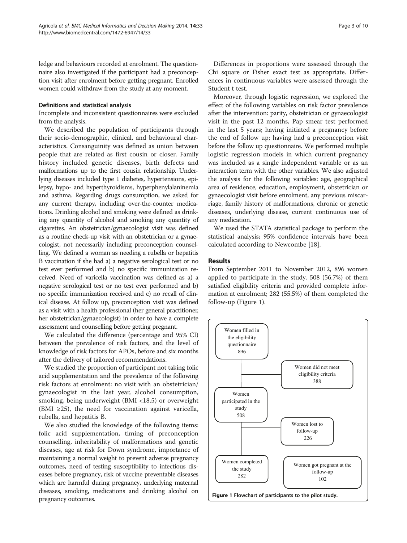ledge and behaviours recorded at enrolment. The questionnaire also investigated if the participant had a preconception visit after enrolment before getting pregnant. Enrolled women could withdraw from the study at any moment.

#### Definitions and statistical analysis

Incomplete and inconsistent questionnaires were excluded from the analysis.

We described the population of participants through their socio-demographic, clinical, and behavioural characteristics. Consanguinity was defined as union between people that are related as first cousin or closer. Family history included genetic diseases, birth defects and malformations up to the first cousin relationship. Underlying diseases included type 1 diabetes, hypertensions, epilepsy, hypo- and hyperthyroidisms, hyperphenylalaninemia and asthma. Regarding drugs consumption, we asked for any current therapy, including over-the-counter medications. Drinking alcohol and smoking were defined as drinking any quantity of alcohol and smoking any quantity of cigarettes. An obstetrician/gynaecologist visit was defined as a routine check-up visit with an obstetrician or a gynaecologist, not necessarily including preconception counselling. We defined a woman as needing a rubella or hepatitis B vaccination if she had a) a negative serological test or no test ever performed and b) no specific immunization received. Need of varicella vaccination was defined as a) a negative serological test or no test ever performed and b) no specific immunization received and c) no recall of clinical disease. At follow up, preconception visit was defined as a visit with a health professional (her general practitioner, her obstetrician/gynaecologist) in order to have a complete assessment and counselling before getting pregnant.

We calculated the difference (percentage and 95% CI) between the prevalence of risk factors, and the level of knowledge of risk factors for APOs, before and six months after the delivery of tailored recommendations.

We studied the proportion of participant not taking folic acid supplementation and the prevalence of the following risk factors at enrolment: no visit with an obstetrician/ gynaecologist in the last year, alcohol consumption, smoking, being underweight (BMI <18.5) or overweight (BMI  $\geq$ 25), the need for vaccination against varicella, rubella, and hepatitis B.

We also studied the knowledge of the following items: folic acid supplementation, timing of preconception counselling, inheritability of malformations and genetic diseases, age at risk for Down syndrome, importance of maintaining a normal weight to prevent adverse pregnancy outcomes, need of testing susceptibility to infectious diseases before pregnancy, risk of vaccine preventable diseases which are harmful during pregnancy, underlying maternal diseases, smoking, medications and drinking alcohol on pregnancy outcomes.

Differences in proportions were assessed through the Chi square or Fisher exact test as appropriate. Differences in continuous variables were assessed through the Student t test.

Moreover, through logistic regression, we explored the effect of the following variables on risk factor prevalence after the intervention: parity, obstetrician or gynaecologist visit in the past 12 months, Pap smear test performed in the last 5 years; having initiated a pregnancy before the end of follow up; having had a preconception visit before the follow up questionnaire. We performed multiple logistic regression models in which current pregnancy was included as a single independent variable or as an interaction term with the other variables. We also adjusted the analysis for the following variables: age, geographical area of residence, education, employment, obstetrician or gynaecologist visit before enrolment, any previous miscarriage, family history of malformations, chronic or genetic diseases, underlying disease, current continuous use of any medication.

We used the STATA statistical package to perform the statistical analysis; 95% confidence intervals have been calculated according to Newcombe [[18](#page-9-0)].

#### Results

From September 2011 to November 2012, 896 women applied to participate in the study. 508 (56.7%) of them satisfied eligibility criteria and provided complete information at enrolment; 282 (55.5%) of them completed the follow-up (Figure 1).

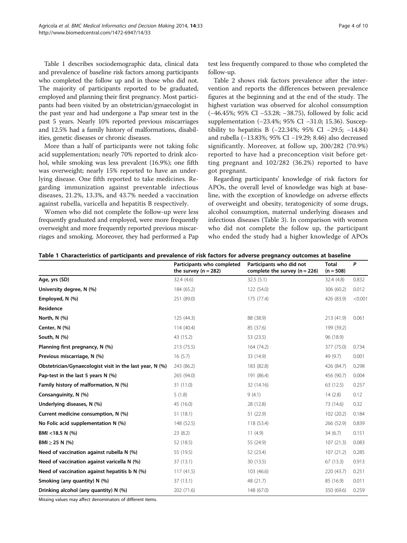Table 1 describes sociodemographic data, clinical data and prevalence of baseline risk factors among participants who completed the follow up and in those who did not. The majority of participants reported to be graduated, employed and planning their first pregnancy. Most participants had been visited by an obstetrician/gynaecologist in the past year and had undergone a Pap smear test in the past 5 years. Nearly 10% reported previous miscarriages and 12.5% had a family history of malformations, disabilities, genetic diseases or chronic diseases.

More than a half of participants were not taking folic acid supplementation; nearly 70% reported to drink alcohol, while smoking was less prevalent (16.9%); one fifth was overweight; nearly 15% reported to have an underlying disease. One fifth reported to take medicines. Regarding immunization against preventable infectious diseases, 21.2%, 13.3%, and 43.7% needed a vaccination against rubella, varicella and hepatitis B respectively.

Women who did not complete the follow-up were less frequently graduated and employed, were more frequently overweight and more frequently reported previous miscarriages and smoking. Moreover, they had performed a Pap

test less frequently compared to those who completed the follow-up.

Table [2](#page-4-0) shows risk factors prevalence after the intervention and reports the differences between prevalence figures at the beginning and at the end of the study. The highest variation was observed for alcohol consumption (−46.45%; 95% CI −53.28; −38.75), followed by folic acid supplementation (-23.4%; 95% CI -31.0; 15.36). Susceptibility to hepatitis B (−22.34%; 95% CI −29.5; −14.84) and rubella (−13.83%; 95% CI −19.29; 8.46) also decreased significantly. Moreover, at follow up, 200/282 (70.9%) reported to have had a preconception visit before getting pregnant and 102/282 (36.2%) reported to have got pregnant.

Regarding participants' knowledge of risk factors for APOs, the overall level of knowledge was high at baseline, with the exception of knowledge on adverse effects of overweight and obesity, teratogenicity of some drugs, alcohol consumption, maternal underlying diseases and infectious diseases (Table [3](#page-4-0)). In comparison with women who did not complete the follow up, the participant who ended the study had a higher knowledge of APOs

|  |  |  |  |  |  |  | Table 1 Characteristics of participants and prevalence of risk factors for adverse pregnancy outcomes at baseline |
|--|--|--|--|--|--|--|-------------------------------------------------------------------------------------------------------------------|
|--|--|--|--|--|--|--|-------------------------------------------------------------------------------------------------------------------|

|                                                          | Participants who completed<br>the survey $(n = 282)$ | Participants who did not<br>complete the survey ( $n = 226$ ) | <b>Total</b><br>$(n = 508)$ | P       |
|----------------------------------------------------------|------------------------------------------------------|---------------------------------------------------------------|-----------------------------|---------|
| Age, yrs (SD)                                            | 32.4 (4.6)                                           | 32.5(5.1)                                                     | 32.4(4.8)                   | 0.832   |
| University degree, N (%)                                 | 184 (65.2)                                           | 122 (54.0)                                                    | 306 (60.2)                  | 0.012   |
| Employed, N (%)                                          | 251 (89.0)                                           | 175 (77.4)                                                    | 426 (83.9)                  | < 0.001 |
| Residence                                                |                                                      |                                                               |                             |         |
| North, N (%)                                             | 125(44.3)                                            | 88 (38.9)                                                     | 213 (41.9)                  | 0.061   |
| Center, N (%)                                            | 114(40.4)                                            | 85 (37.6)                                                     | 199 (39.2)                  |         |
| South, N (%)                                             | 43 (15.2)                                            | 53 (23.5)                                                     | 96 (18.9)                   |         |
| Planning first pregnancy, N (%)                          | 213 (75.5)                                           | 164 (74.2)                                                    | 377 (75.0)                  | 0.734   |
| Previous miscarriage, N (%)                              | 16(5.7)                                              | 33 (14.9)                                                     | 49 (9.7)                    | 0.001   |
| Obstetrician/Gynaecologist visit in the last year, N (%) | 243 (86.2)                                           | 183 (82.8)                                                    | 426 (84.7)                  | 0.298   |
| Pap-test in the last 5 years N (%)                       | 265 (94.0)                                           | 191 (86.4)                                                    | 456 (90.7)                  | 0.004   |
| Family history of malformation, N (%)                    | 31 (11.0)                                            | 32 (14.16)                                                    | 63 (12.5)                   | 0.257   |
| Consanguinity, N (%)                                     | 5(1.8)                                               | 9(4.1)                                                        | 14(2.8)                     | 0.12    |
| Underlying diseases, N (%)                               | 45 (16.0)                                            | 28 (12.8)                                                     | 73 (14.6)                   | 0.32    |
| Current medicine consumption, N (%)                      | 51(18.1)                                             | 51 (22.9)                                                     | 102(20.2)                   | 0.184   |
| No Folic acid supplementation N (%)                      | 148 (52.5)                                           | 118 (53.4)                                                    | 266 (52.9)                  | 0.839   |
| BMI <18.5 N (%)                                          | 23 (8.2)                                             | 11(4.9)                                                       | 34(6.7)                     | 0.151   |
| $BMI \geq 25 N$ (%)                                      | 52 (18.5)                                            | 55 (24.9)                                                     | 107(21.3)                   | 0.083   |
| Need of vaccination against rubella N (%)                | 55 (19.5)                                            | 52 (23.4)                                                     | 107(21.2)                   | 0.285   |
| Need of vaccination against varicella N (%)              | 37(13.1)                                             | 30(13.5)                                                      | 67(13.3)                    | 0.913   |
| Need of vaccination against hepatitis b N (%)            | 117(41.5)                                            | 103 (46.6)                                                    | 220 (43.7)                  | 0.251   |
| Smoking (any quantity) N (%)                             | 37(13.1)                                             | 48 (21.7)                                                     | 85 (16.9)                   | 0.011   |
| Drinking alcohol (any quantity) N (%)                    | 202 (71.6)                                           | 148 (67.0)                                                    | 350 (69.6)                  | 0.259   |

Missing values may affect denominators of different items.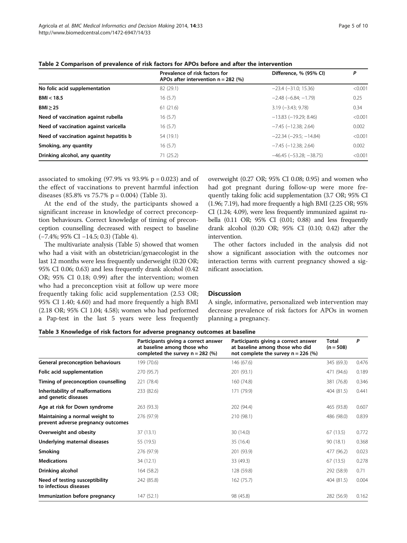|                                         | Prevalence of risk factors for<br>APOs after intervention $n = 282$ (%) | Difference, % (95% CI)           | Ρ       |
|-----------------------------------------|-------------------------------------------------------------------------|----------------------------------|---------|
| No folic acid supplementation           | 82 (29.1)                                                               | $-23.4$ ( $-31.0$ ; 15.36)       | < 0.001 |
| BMI < 18.5                              | 16(5.7)                                                                 | $-2.48$ ( $-6.84$ ; $-1.79$ )    | 0.25    |
| BM > 25                                 | 61(21.6)                                                                | $3.19 (-3.43; 9.78)$             | 0.34    |
| Need of vaccination against rubella     | 16(5.7)                                                                 | $-13.83$ ( $-19.29$ ; 8.46)      | < 0.001 |
| Need of vaccination against varicella   | 16(5.7)                                                                 | $-7.45$ ( $-12.38$ ; 2.64)       | 0.002   |
| Need of vaccination against hepatitis b | 54 (19.1)                                                               | $-22.34 (-29.5; -14.84)$         | < 0.001 |
| Smoking, any quantity                   | 16(5.7)                                                                 | $-7.45$ ( $-12.38$ : 2.64)       | 0.002   |
| Drinking alcohol, any quantity          | 71 (25.2)                                                               | $-46.45$ ( $-53.28$ ; $-38.75$ ) | < 0.001 |

<span id="page-4-0"></span>Table 2 Comparison of prevalence of risk factors for APOs before and after the intervention

associated to smoking  $(97.9\% \text{ vs } 93.9\% \text{ p} = 0.023)$  and of the effect of vaccinations to prevent harmful infection diseases (85.8% vs 75.7% p = 0.004) (Table 3).

At the end of the study, the participants showed a significant increase in knowledge of correct preconception behaviours. Correct knowledge of timing of preconception counselling decreased with respect to baseline (−7.4%; 95% CI −14.5; 0.3) (Table [4\)](#page-5-0).

The multivariate analysis (Table [5](#page-6-0)) showed that women who had a visit with an obstetrician/gynaecologist in the last 12 months were less frequently underweight (0.20 OR; 95% CI 0.06; 0.63) and less frequently drank alcohol (0.42 OR; 95% CI 0.18; 0.99) after the intervention; women who had a preconception visit at follow up were more frequently taking folic acid supplementation (2.53 OR; 95% CI 1.40; 4.60) and had more frequently a high BMI (2.18 OR; 95% CI 1.04; 4.58); women who had performed a Pap-test in the last 5 years were less frequently

overweight (0.27 OR; 95% CI 0.08; 0.95) and women who had got pregnant during follow-up were more frequently taking folic acid supplementation (3.7 OR; 95% CI (1.96; 7.19), had more frequently a high BMI (2.25 OR; 95% CI (1.24; 4.09), were less frequently immunized against rubella (0.11 OR; 95% CI (0.01; 0.88) and less frequently drank alcohol (0.20 OR; 95% CI (0.10; 0.42) after the intervention.

The other factors included in the analysis did not show a significant association with the outcomes nor interaction terms with current pregnancy showed a significant association.

## **Discussion**

A single, informative, personalized web intervention may decrease prevalence of risk factors for APOs in women planning a pregnancy.

|  | Table 3 Knowledge of risk factors for adverse pregnancy outcomes at baseline |  |
|--|------------------------------------------------------------------------------|--|
|--|------------------------------------------------------------------------------|--|

|                                                                      | Participants giving a correct answer<br>at baseline among those who<br>completed the survey $n = 282$ (%) | Participants giving a correct answer<br>at baseline among those who did<br>not complete the survey $n = 226$ (%) | Total<br>$(n = 508)$ | P     |
|----------------------------------------------------------------------|-----------------------------------------------------------------------------------------------------------|------------------------------------------------------------------------------------------------------------------|----------------------|-------|
| General preconception behaviours                                     | 199 (70.6)                                                                                                | 146 (67.6)                                                                                                       | 345 (69.3)           | 0.476 |
| Folic acid supplementation                                           | 270 (95.7)                                                                                                | 201 (93.1)                                                                                                       | 471 (94.6)           | 0.189 |
| Timing of preconception counselling                                  | 221 (78.4)                                                                                                | 160 (74.8)                                                                                                       | 381 (76.8)           | 0.346 |
| Inheritability of malformations<br>and genetic diseases              | 233 (82.6)                                                                                                | 171 (79.9)                                                                                                       | 404 (81.5)           | 0.441 |
| Age at risk for Down syndrome                                        | 263 (93.3)                                                                                                | 202 (94.4)                                                                                                       | 465 (93.8)           | 0.607 |
| Maintaining a normal weight to<br>prevent adverse pregnancy outcomes | 276 (97.9)                                                                                                | 210 (98.1)                                                                                                       | 486 (98.0)           | 0.839 |
| Overweight and obesity                                               | 37 (13.1)                                                                                                 | 30 (14.0)                                                                                                        | 67(13.5)             | 0.772 |
| Underlying maternal diseases                                         | 55 (19.5)                                                                                                 | 35 (16.4)                                                                                                        | 90(18.1)             | 0.368 |
| Smoking                                                              | 276 (97.9)                                                                                                | 201 (93.9)                                                                                                       | 477 (96.2)           | 0.023 |
| <b>Medications</b>                                                   | 34 (12.1)                                                                                                 | 33 (49.3)                                                                                                        | 67(13.5)             | 0.278 |
| Drinking alcohol                                                     | 164 (58.2)                                                                                                | 128 (59.8)                                                                                                       | 292 (58.9)           | 0.71  |
| Need of testing susceptibility<br>to infectious diseases             | 242 (85.8)                                                                                                | 162(75.7)                                                                                                        | 404 (81.5)           | 0.004 |
| Immunization before pregnancy                                        | 147 (52.1)                                                                                                | 98 (45.8)                                                                                                        | 282 (56.9)           | 0.162 |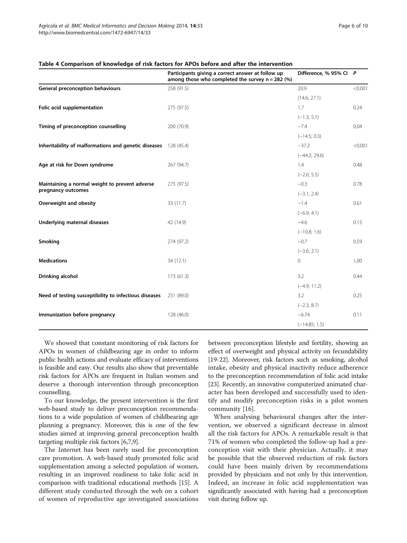|                                                                 | Participants giving a correct answer at follow up<br>among those who completed the survey $n = 282$ (%) | Difference, % 95% Cl P |         |
|-----------------------------------------------------------------|---------------------------------------------------------------------------------------------------------|------------------------|---------|
| General preconception behaviours                                | 258 (91.5)                                                                                              | 20.9                   | < 0.001 |
|                                                                 |                                                                                                         | (14.6; 27.1)           |         |
| Folic acid supplementation                                      | 275 (97.5)                                                                                              | 1.7                    | 0.24    |
|                                                                 |                                                                                                         | $(-1.3; 5.1)$          |         |
| Timing of preconception counselling                             | 200 (70.9)                                                                                              | $-7.4$                 | 0.04    |
|                                                                 |                                                                                                         | $(-14.5; 0.3)$         |         |
| Inheritability of malformations and genetic diseases 128 (45.4) |                                                                                                         | $-37.2$                | < 0.001 |
|                                                                 |                                                                                                         | $(-44.2; 29.6)$        |         |
| Age at risk for Down syndrome                                   | 267 (94.7)                                                                                              | 1.4                    | 0.48    |
|                                                                 |                                                                                                         | $(-2.6; 5.5)$          |         |
| Maintaining a normal weight to prevent adverse                  | 275 (97.5)                                                                                              | $-0.3$                 | 0.78    |
| pregnancy outcomes                                              |                                                                                                         | $(-3.1; 2.4)$          |         |
| Overweight and obesity                                          | 33 (11.7)                                                                                               | $-1.4$                 | 0.61    |
|                                                                 |                                                                                                         | $(-6.9; 4.1)$          |         |
| Underlying maternal diseases                                    | 42 (14.9)                                                                                               | $-4.6$                 | 0.15    |
|                                                                 |                                                                                                         | $(-10.8; 1.6)$         |         |
| Smoking                                                         | 274 (97.2)                                                                                              | $-0.7$                 | 0.59    |
|                                                                 |                                                                                                         | $(-3.6; 2.1)$          |         |
| <b>Medications</b>                                              | 34 (12.1)                                                                                               | $\overline{0}$         | 1,00    |
| Drinking alcohol                                                | 173 (61.3)                                                                                              | 3.2                    | 0.44    |
|                                                                 |                                                                                                         | $(-4.9; 11.2)$         |         |
| Need of testing susceptibility to infectious diseases           | 251 (89.0)                                                                                              | 3.2                    | 0.25    |
|                                                                 |                                                                                                         | $(-2.3; 8.7)$          |         |
| Immunization before pregnancy                                   | 128 (46.0)                                                                                              | $-6.74$                | 0.11    |
|                                                                 |                                                                                                         | $(-14.85; 1.5)$        |         |

## <span id="page-5-0"></span>Table 4 Comparison of knowledge of risk factors for APOs before and after the intervention

We showed that constant monitoring of risk factors for APOs in women of childbearing age in order to inform public health actions and evaluate efficacy of interventions is feasible and easy. Our results also show that preventable risk factors for APOs are frequent in Italian women and deserve a thorough intervention through preconception counselling.

To our knowledge, the present intervention is the first web-based study to deliver preconception recommendations to a wide population of women of childbearing age planning a pregnancy. Moreover, this is one of the few studies aimed at improving general preconception health targeting multiple risk factors [\[6,7](#page-8-0)[,9\]](#page-9-0).

The Internet has been rarely used for preconception care promotion. A web-based study promoted folic acid supplementation among a selected population of women, resulting in an improved readiness to take folic acid in comparison with traditional educational methods [\[15\]](#page-9-0). A different study conducted through the web on a cohort of women of reproductive age investigated associations

between preconception lifestyle and fertility, showing an effect of overweight and physical activity on fecundability [[19](#page-9-0)-[22\]](#page-9-0). Moreover, risk factors such as smoking, alcohol intake, obesity and physical inactivity reduce adherence to the preconception recommendation of folic acid intake [[23](#page-9-0)]. Recently, an innovative computerized animated character has been developed and successfully used to identify and modify preconception risks in a pilot women community [\[16](#page-9-0)].

When analysing behavioural changes after the intervention, we observed a significant decrease in almost all the risk factors for APOs. A remarkable result is that 71% of women who completed the follow-up had a preconception visit with their physician. Actually, it may be possible that the observed reduction of risk factors could have been mainly driven by recommendations provided by physicians and not only by this intervention. Indeed, an increase in folic acid supplementation was significantly associated with having had a preconception visit during follow up.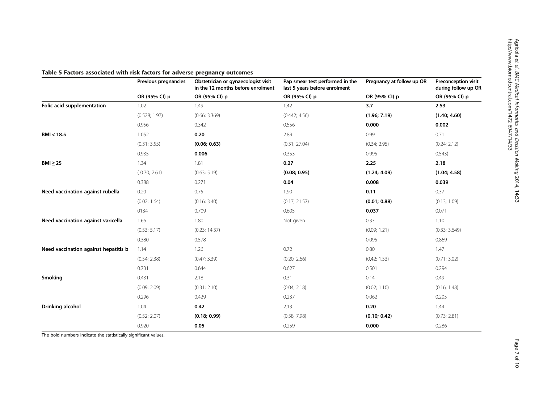|                                      | Previous pregnancies | Obstetrician or gynaecologist visit<br>in the 12 months before enrolment | Pap smear test performed in the<br>last 5 years before enrolment | Pregnancy at follow up OR | <b>Preconception visit</b><br>during follow up OR |  |
|--------------------------------------|----------------------|--------------------------------------------------------------------------|------------------------------------------------------------------|---------------------------|---------------------------------------------------|--|
|                                      | OR (95% CI) p        | OR (95% CI) p                                                            | OR (95% CI) p                                                    | OR (95% CI) p             | OR (95% CI) p                                     |  |
| Folic acid supplementation           | 1.02                 | 1.49                                                                     | 1.42                                                             | 3.7                       | 2.53                                              |  |
|                                      | (0.528; 1.97)        | (0.66; 3.369)                                                            | (0.442; 4.56)                                                    | (1.96; 7.19)              | (1.40; 4.60)                                      |  |
|                                      | 0.956                | 0.342                                                                    | 0.556                                                            | 0.000                     | 0.002                                             |  |
| BMI < 18.5                           | 1.052                | 0.20                                                                     | 2.89                                                             | 0.99                      | 0.71                                              |  |
|                                      | (0.31; 3.55)         | (0.06; 0.63)                                                             | (0.31; 27.04)                                                    | (0.34; 2.95)              | (0.24; 2.12)                                      |  |
|                                      | 0.935                | 0.006                                                                    | 0.353                                                            | 0.995                     | 0.543)                                            |  |
| $BMI \geq 25$                        | 1.34                 | 1.81                                                                     | 0.27                                                             | 2.25                      | 2.18                                              |  |
|                                      | (0.70; 2.61)         | (0.63; 5.19)                                                             | (0.08; 0.95)                                                     | (1.24; 4.09)              | (1.04; 4.58)                                      |  |
|                                      | 0.388                | 0.271                                                                    | 0.04                                                             | 0.008                     | 0.039                                             |  |
| Need vaccination against rubella     | 0.20                 | 0.75                                                                     | 1.90                                                             | 0.11                      | 0.37                                              |  |
|                                      | (0.02; 1.64)         | (0.16; 3.40)                                                             | (0.17; 21.57)                                                    | (0.01; 0.88)              | (0.13; 1.09)                                      |  |
|                                      | 0134                 | 0.709                                                                    | 0.605                                                            | 0.037                     | 0.071                                             |  |
| Need vaccination against varicella   | 1.66                 | 1.80                                                                     | Not given                                                        | 0.33                      | 1.10                                              |  |
|                                      | (0.53; 5.17)         | (0.23; 14.37)                                                            |                                                                  | (0.09; 1.21)              | (0.33; 3.649)                                     |  |
|                                      | 0.380                | 0.578                                                                    |                                                                  | 0.095                     | 0.869                                             |  |
| Need vaccination against hepatitis b | 1.14                 | 1.26                                                                     | 0.72                                                             | 0.80                      | 1.47                                              |  |
|                                      | (0.54; 2.38)         | (0.47; 3.39)                                                             | (0.20; 2.66)                                                     | (0.42; 1.53)              | (0.71; 3.02)                                      |  |
|                                      | 0.731                | 0.644                                                                    | 0.627                                                            | 0.501                     | 0.294                                             |  |
| Smoking                              | 0.431                | 2.18                                                                     | 0.31                                                             | 0.14                      | 0.49                                              |  |
|                                      | (0.09; 2.09)         | (0.31; 2.10)                                                             | (0.04; 2.18)                                                     | (0.02; 1.10)              | (0.16; 1.48)                                      |  |
|                                      | 0.296                | 0.429                                                                    | 0.237                                                            | 0.062                     | 0.205                                             |  |
| Drinking alcohol                     | 1.04                 | 0.42                                                                     | 2.13                                                             | 0.20                      | 1.44                                              |  |
|                                      | (0.52; 2.07)         | (0.18; 0.99)                                                             | (0.58; 7.98)                                                     | (0.10; 0.42)              | (0.73; 2.81)                                      |  |
|                                      | 0.920                | 0.05                                                                     | 0.259                                                            | 0.000                     | 0.286                                             |  |

## <span id="page-6-0"></span>Table 5 Factors associated with risk factors for adverse pregnancy outcomes

The bold numbers indicate the statistically significant values.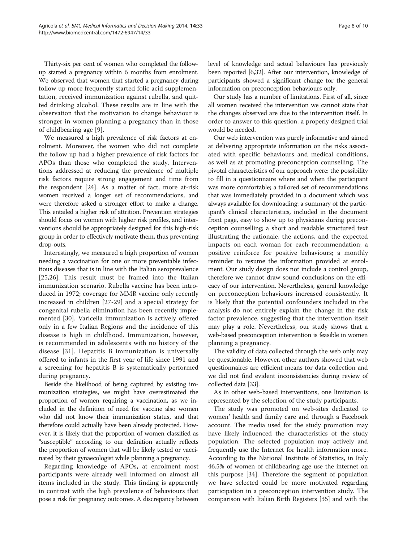Thirty-six per cent of women who completed the followup started a pregnancy within 6 months from enrolment. We observed that women that started a pregnancy during follow up more frequently started folic acid supplementation, received immunization against rubella, and quitted drinking alcohol. These results are in line with the observation that the motivation to change behaviour is stronger in women planning a pregnancy than in those of childbearing age [[9](#page-9-0)].

We measured a high prevalence of risk factors at enrolment. Moreover, the women who did not complete the follow up had a higher prevalence of risk factors for APOs than those who completed the study. Interventions addressed at reducing the prevalence of multiple risk factors require strong engagement and time from the respondent [[24\]](#page-9-0). As a matter of fact, more at-risk women received a longer set of recommendations, and were therefore asked a stronger effort to make a change. This entailed a higher risk of attrition. Prevention strategies should focus on women with higher risk profiles, and interventions should be appropriately designed for this high-risk group in order to effectively motivate them, thus preventing drop-outs.

Interestingly, we measured a high proportion of women needing a vaccination for one or more preventable infectious diseases that is in line with the Italian seroprevalence [[25,26](#page-9-0)]. This result must be framed into the Italian immunization scenario. Rubella vaccine has been introduced in 1972; coverage for MMR vaccine only recently increased in children [[27-29](#page-9-0)] and a special strategy for congenital rubella elimination has been recently implemented [\[30](#page-9-0)]. Varicella immunization is actively offered only in a few Italian Regions and the incidence of this disease is high in childhood. Immunization, however, is recommended in adolescents with no history of the disease [[31\]](#page-9-0). Hepatitis B immunization is universally offered to infants in the first year of life since 1991 and a screening for hepatitis B is systematically performed during pregnancy.

Beside the likelihood of being captured by existing immunization strategies, we might have overestimated the proportion of women requiring a vaccination, as we included in the definition of need for vaccine also women who did not know their immunization status, and that therefore could actually have been already protected. However, it is likely that the proportion of women classified as "susceptible" according to our definition actually reflects the proportion of women that will be likely tested or vaccinated by their gynaecologist while planning a pregnancy.

Regarding knowledge of APOs, at enrolment most participants were already well informed on almost all items included in the study. This finding is apparently in contrast with the high prevalence of behaviours that pose a risk for pregnancy outcomes. A discrepancy between level of knowledge and actual behaviours has previously been reported [[6](#page-8-0)[,32\]](#page-9-0). After our intervention, knowledge of participants showed a significant change for the general information on preconception behaviours only.

Our study has a number of limitations. First of all, since all women received the intervention we cannot state that the changes observed are due to the intervention itself. In order to answer to this question, a properly designed trial would be needed.

Our web intervention was purely informative and aimed at delivering appropriate information on the risks associated with specific behaviours and medical conditions, as well as at promoting preconception counselling. The pivotal characteristics of our approach were: the possibility to fill in a questionnaire where and when the participant was more comfortable; a tailored set of recommendations that was immediately provided in a document which was always available for downloading; a summary of the participant's clinical characteristics, included in the document front page, easy to show up to physicians during preconception counselling; a short and readable structured text illustrating the rationale, the actions, and the expected impacts on each woman for each recommendation; a positive reinforce for positive behaviours; a monthly reminder to resume the information provided at enrolment. Our study design does not include a control group, therefore we cannot draw sound conclusions on the efficacy of our intervention. Nevertheless, general knowledge on preconception behaviours increased consistently. It is likely that the potential confounders included in the analysis do not entirely explain the change in the risk factor prevalence, suggesting that the intervention itself may play a role. Nevertheless, our study shows that a web-based preconception intervention is feasible in women planning a pregnancy.

The validity of data collected through the web only may be questionable. However, other authors showed that web questionnaires are efficient means for data collection and we did not find evident inconsistencies during review of collected data [\[33](#page-9-0)].

As in other web-based interventions, one limitation is represented by the selection of the study participants.

The study was promoted on web-sites dedicated to women' health and family care and through a Facebook account. The media used for the study promotion may have likely influenced the characteristics of the study population. The selected population may actively and frequently use the Internet for health information more. According to the National Institute of Statistics, in Italy 46.5% of women of childbearing age use the internet on this purpose [[34](#page-9-0)]. Therefore the segment of population we have selected could be more motivated regarding participation in a preconception intervention study. The comparison with Italian Birth Registers [\[35](#page-9-0)] and with the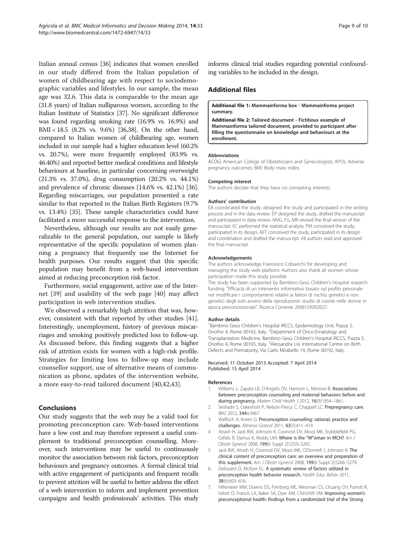<span id="page-8-0"></span>Italian annual census [[36](#page-9-0)] indicates that women enrolled in our study differed from the Italian population of women of childbearing age with respect to sociodemographic variables and lifestyles. In our sample, the mean age was 32.6. This data is comparable to the mean age (31.8 years) of Italian nulliparous women, according to the Italian Institute of Statistics [\[37](#page-9-0)]. No significant difference was found regarding smoking rate (16.9% vs. 16.9%) and BMI < 18.5 (8.2% vs. 9.6%) [[36,38\]](#page-9-0). On the other hand, compared to Italian women of childbearing age, women included in our sample had a higher education level (60.2% vs. 20.7%), were more frequently employed (83.9% vs. 46.40%) and reported better medical conditions and lifestyle behaviours at baseline, in particular concerning overweight (21.3% vs. 37.0%), drug consumption (20.2% vs. 44.1%) and prevalence of chronic diseases (14.6% vs. 42.1%) [[36](#page-9-0)]. Regarding miscarriages, our population presented a rate similar to that reported in the Italian Birth Registers (9.7% vs. 13.4%) [\[35\]](#page-9-0). These sample characteristics could have facilitated a more successful response to the intervention.

Nevertheless, although our results are not easily generalizable to the general population, our sample is likely representative of the specific population of women planning a pregnancy that frequently use the Internet for health purposes. Our results suggest that this specific population may benefit from a web-based intervention aimed at reducing preconception risk factor.

Furthermore, social engagement, active use of the Internet [\[39](#page-9-0)] and usability of the web page [\[40](#page-9-0)] may affect participation in web intervention studies.

We observed a remarkably high attrition that was, however, consistent with that reported by other studies [[41](#page-9-0)]. Interestingly, unemployment, history of previous miscarriages and smoking positively predicted loss to follow-up. As discussed before, this finding suggests that a higher risk of attrition exists for women with a high-risk profile. Strategies for limiting loss to follow-up may include counsellor support, use of alternative means of communication as phone, updates of the intervention website, a more easy-to-read tailored document [[40,42,43](#page-9-0)].

## Conclusions

Our study suggests that the web may be a valid tool for promoting preconception care. Web-based interventions have a low cost and may therefore represent a useful complement to traditional preconception counselling. Moreover, such interventions may be useful to continuously monitor the association between risk factors, preconception behaviours and pregnancy outcomes. A formal clinical trial with active engagement of participants and frequent recalls to prevent attrition will be useful to better address the effect of a web intervention to inform and implement prevention campaigns and health professionals' activities. This study informs clinical trial studies regarding potential confounding variables to be included in the design.

## Additional files

[Additional file 1:](http://www.biomedcentral.com/content/supplementary/1472-6947-14-33-S1.docx) Mammainforma box - Mammainforma project summary.

[Additional file 2:](http://www.biomedcentral.com/content/supplementary/1472-6947-14-33-S2.docx) Tailored document - Fictitious example of Mammainforma tailored document, provided to participant after filling the questionnaire on knowledge and behaviours at the enrollment.

#### Abbreviations

ACOG: American College of Obstetricians and Gynecologists; APOs: Adverse pregnancy outcomes; BMI: Body mass index.

#### Competing interest

The authors declare that they have no competing interests.

#### Authors' contribution

EA coordinated the study, designed the study and participated in the writing process and in the data review. EP designed the study, drafted the manuscript and participated in data review. MVG, FG, MR revised the final version of the manuscript. EC performed the statistical analysis. PM conceived the study, participated in its design, AET conceived the study, participated in its design and coordination and drafted the manuscript. All authors read and approved the final manuscript.

#### Acknowledgements

The authors acknowledge Francesco Cobianchi for developing and managing the study web platform. Authors also thank all women whose participation made this study possible.

The study has been supported by Bambino Gesù Children's Hospital research funding: "Efficacia di un intervento informativo basato sul profilo personale nel modificare i comportamenti relativi ai fattori di rischio genetici e non genetici degli esiti avversi della riproduzione: studio di coorte nelle donne in epoca preconcezionale". Ricerca Corrente 200815X002027.

#### Author details

1 Bambino Gesù Children's Hospital IRCCS, Epidemiology Unit, Piazza S. Onofrio 4, Rome 00165, Italy. <sup>2</sup>Department of Onco-Ematology and Transplantation Medicine, Bambino Gesù Children's Hospital IRCCS, Piazza S. Onofrio 4, Rome 00165, Italy. <sup>3</sup> Alessandra Lisi International Centre on Birth Defects and Prematurity, Via Carlo Mirabello 14, Rome 00192, Italy.

#### Received: 11 October 2013 Accepted: 7 April 2014 Published: 15 April 2014

#### References

- Williams L, Zapata LB, D'Angelo DV, Harrison L, Morrow B: Associations between preconception counseling and maternal behaviors before and during pregnancy. Matern Child Health J 2012, 16(9):1854-1861
- 2. Seshadri S, Oakeshott P, Nelson-Piercy C, Chappell LC: Prepregnancy care. BMJ 2012, 344:e3467.
- 3. Walfisch A, Koren G: Preconception counseling: rational, practice and challenges. Minerva Ginecol 2011, 63(5):411–419.
- 4. Atrash H, Jack BW, Johnson K, Coonrod DV, Moos MK, Stubblefield PG, Cefalo R, Damus K, Reddy UM: Where is the "W"oman in MCH? Am J Obstet Gynecol 2008, 199(6 Suppl 2):S259–S265.
- 5. Jack BW, Atrash H, Coonrod DV, Moos MK, O'Donnell J, Johnson K: The clinical content of preconception care: an overview and preparation of this supplement. Am J Obstet Gynecol 2008, 199(6 Suppl 2):S266-S279.
- 6. Delissaint D, McKyer EL: A systematic review of factors utilized in preconception health behavior research. Health Educ Behav 2011, 38(6):603–616.
- 7. Hillemeier MM, Downs DS, Feinberg ME, Weisman CS, Chuang CH, Parrott R, Velott D, Francis LA, Baker SA, Dyer AM, Chinchilli VM: Improving women's preconceptional health: findings from a randomized trial of the Strong